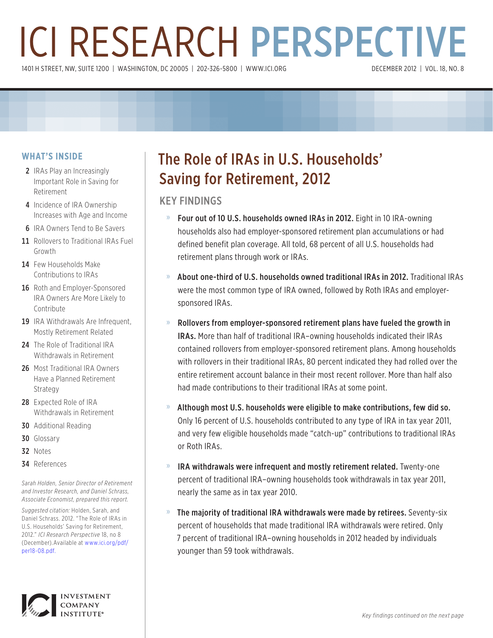# ICI RESEARCH PERSPECTIVE 1401 H STREET, NW, SUITE 1200 | WASHINGTON, DC 20005 | 202-326-5800 | WWW.ICI.ORG

#### **WHAT'S INSIDE**

- 2 IRAs Play an Increasingly Important Role in Saving for Retirement
- 4 Incidence of IRA Ownership Increases with Age and Income
- **6** IRA Owners Tend to Be Savers
- 11 Rollovers to Traditional IRAs Fuel Growth
- 14 Few Households Make Contributions to IRAs
- 16 Roth and Employer-Sponsored IRA Owners Are More Likely to **Contribute**
- 19 IRA Withdrawals Are Infrequent. Mostly Retirement Related
- 24 The Role of Traditional IRA Withdrawals in Retirement
- 26 Most Traditional IRA Owners Have a Planned Retirement Strategy
- 28 Expected Role of IRA Withdrawals in Retirement
- 30 Additional Reading
- 30 Glossary
- 32 Notes
- 34 References

*Sarah Holden, Senior Director of Retirement and Investor Research, and Daniel Schrass, Associate Economist, prepared this report.*

*Suggested citation:* Holden, Sarah, and Daniel Schrass. 2012. "The Role of IRAs in U.S. Households' Saving for Retirement, 2012." *ICI Research Perspective* 18, no 8 (December).Available at www.ici.org/pdf/ per18-08.pdf.



## The Role of IRAs in U.S. Households' Saving for Retirement, 2012

#### KEY FINDINGS

- » Four out of 10 U.S. households owned IRAs in 2012. Eight in 10 IRA-owning households also had employer-sponsored retirement plan accumulations or had defined benefit plan coverage. All told, 68 percent of all U.S. households had retirement plans through work or IRAs.
- » About one-third of U.S. households owned traditional IRAs in 2012. Traditional IRAs were the most common type of IRA owned, followed by Roth IRAs and employersponsored IRAs.
- » Rollovers from employer-sponsored retirement plans have fueled the growth in IRAs. More than half of traditional IRA–owning households indicated their IRAs contained rollovers from employer-sponsored retirement plans. Among households with rollovers in their traditional IRAs, 80 percent indicated they had rolled over the entire retirement account balance in their most recent rollover. More than half also had made contributions to their traditional IRAs at some point.
- » Although most U.S. households were eligible to make contributions, few did so. Only 16 percent of U.S. households contributed to any type of IRA in tax year 2011, and very few eligible households made "catch-up" contributions to traditional IRAs or Roth IRAs.
- » IRA withdrawals were infrequent and mostly retirement related. Twenty-one percent of traditional IRA–owning households took withdrawals in tax year 2011, nearly the same as in tax year 2010.
- » The majority of traditional IRA withdrawals were made by retirees. Seventy-six percent of households that made traditional IRA withdrawals were retired. Only 7 percent of traditional IRA–owning households in 2012 headed by individuals younger than 59 took withdrawals.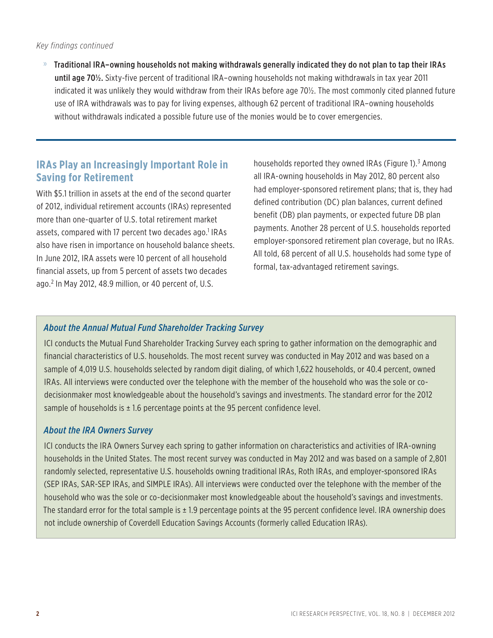#### *Key findings continued*

» Traditional IRA–owning households not making withdrawals generally indicated they do not plan to tap their IRAs until age 70½. Sixty-five percent of traditional IRA–owning households not making withdrawals in tax year 2011 indicated it was unlikely they would withdraw from their IRAs before age 70½. The most commonly cited planned future use of IRA withdrawals was to pay for living expenses, although 62 percent of traditional IRA–owning households without withdrawals indicated a possible future use of the monies would be to cover emergencies.

#### **IRAs Play an Increasingly Important Role in Saving for Retirement**

With \$5.1 trillion in assets at the end of the second quarter of 2012, individual retirement accounts (IRAs) represented more than one-quarter of U.S. total retirement market assets, compared with 17 percent two decades ago.<sup>1</sup> IRAs also have risen in importance on household balance sheets. In June 2012, IRA assets were 10 percent of all household financial assets, up from 5 percent of assets two decades ago.<sup>2</sup> In May 2012, 48.9 million, or 40 percent of, U.S.

households reported they owned IRAs (Figure 1).<sup>3</sup> Among all IRA-owning households in May 2012, 80 percent also had employer-sponsored retirement plans; that is, they had defined contribution (DC) plan balances, current defined benefit (DB) plan payments, or expected future DB plan payments. Another 28 percent of U.S. households reported employer-sponsored retirement plan coverage, but no IRAs. All told, 68 percent of all U.S. households had some type of formal, tax-advantaged retirement savings.

#### *About the Annual Mutual Fund Shareholder Tracking Survey*

ICI conducts the Mutual Fund Shareholder Tracking Survey each spring to gather information on the demographic and financial characteristics of U.S. households. The most recent survey was conducted in May 2012 and was based on a sample of 4,019 U.S. households selected by random digit dialing, of which 1,622 households, or 40.4 percent, owned IRAs. All interviews were conducted over the telephone with the member of the household who was the sole or codecisionmaker most knowledgeable about the household's savings and investments. The standard error for the 2012 sample of households is  $\pm$  1.6 percentage points at the 95 percent confidence level.

#### *About the IRA Owners Survey*

ICI conducts the IRA Owners Survey each spring to gather information on characteristics and activities of IRA-owning households in the United States. The most recent survey was conducted in May 2012 and was based on a sample of 2,801 randomly selected, representative U.S. households owning traditional IRAs, Roth IRAs, and employer-sponsored IRAs (SEP IRAs, SAR-SEP IRAs, and SIMPLE IRAs). All interviews were conducted over the telephone with the member of the household who was the sole or co-decisionmaker most knowledgeable about the household's savings and investments. The standard error for the total sample is  $\pm$  1.9 percentage points at the 95 percent confidence level. IRA ownership does not include ownership of Coverdell Education Savings Accounts (formerly called Education IRAs).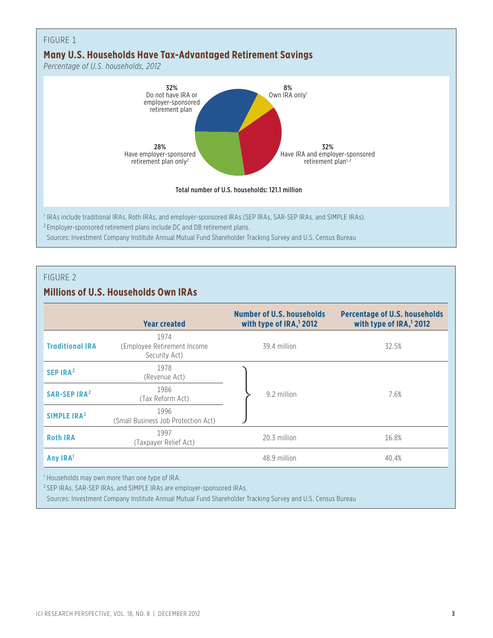

#### **Millions of U.S. Households Own IRAs**

|                                                            | <b>Year created</b>                                   | <b>Number of U.S. households</b><br>with type of IRA, <sup>1</sup> 2012 | <b>Percentage of U.S. households</b><br>with type of IRA, <sup>1</sup> 2012 |  |
|------------------------------------------------------------|-------------------------------------------------------|-------------------------------------------------------------------------|-----------------------------------------------------------------------------|--|
| <b>Traditional IRA</b>                                     | 1974<br>(Employee Retirement Income)<br>Security Act) | 39.4 million                                                            | 32.5%                                                                       |  |
| SEP IRA <sup>2</sup>                                       | 1978<br>(Revenue Act)                                 |                                                                         |                                                                             |  |
| <b>SAR-SEP IRA<sup>2</sup></b>                             | 1986<br>(Tax Reform Act)                              | 9.2 million                                                             | 7.6%                                                                        |  |
| SIMPLE IRA <sup>2</sup>                                    | 1996<br>(Small Business Job Protection Act)           |                                                                         |                                                                             |  |
| <b>Roth IRA</b>                                            | 1997<br>(Taxpayer Relief Act)                         | 20.3 million                                                            | 16.8%                                                                       |  |
| Any IRA <sup>1</sup>                                       |                                                       | 48.9 million                                                            | 40.4%                                                                       |  |
| <sup>1</sup> Households may own more than one type of IRA. |                                                       |                                                                         |                                                                             |  |

<sup>2</sup> SEP IRAs, SAR-SEP IRAs, and SIMPLE IRAs are employer-sponsored IRAs.

Sources: Investment Company Institute Annual Mutual Fund Shareholder Tracking Survey and U.S. Census Bureau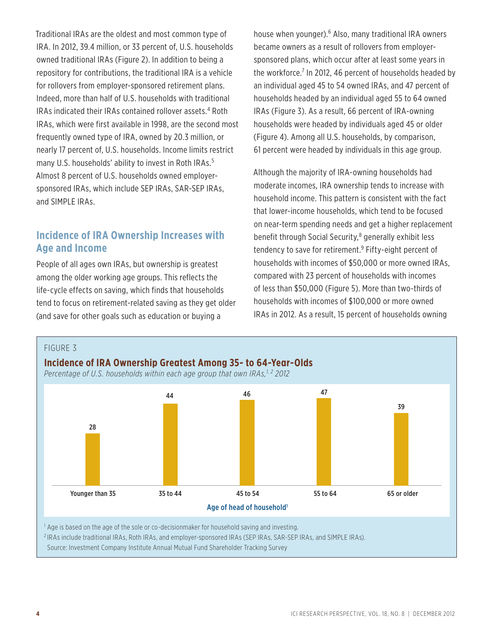Traditional IRAs are the oldest and most common type of IRA. In 2012, 39.4 million, or 33 percent of, U.S. households owned traditional IRAs (Figure 2). In addition to being a repository for contributions, the traditional IRA is a vehicle for rollovers from employer-sponsored retirement plans. Indeed, more than half of U.S. households with traditional IRAs indicated their IRAs contained rollover assets.<sup>4</sup> Roth IRAs, which were first available in 1998, are the second most frequently owned type of IRA, owned by 20.3 million, or nearly 17 percent of, U.S. households. Income limits restrict many U.S. households' ability to invest in Roth IRAs.<sup>5</sup> Almost 8 percent of U.S. households owned employersponsored IRAs, which include SEP IRAs, SAR-SEP IRAs, and SIMPLE IRAs.

#### **Incidence of IRA Ownership Increases with Age and Income**

People of all ages own IRAs, but ownership is greatest among the older working age groups. This reflects the life-cycle effects on saving, which finds that households tend to focus on retirement-related saving as they get older (and save for other goals such as education or buying a

house when younger).<sup>6</sup> Also, many traditional IRA owners became owners as a result of rollovers from employersponsored plans, which occur after at least some years in the workforce.<sup>7</sup> In 2012, 46 percent of households headed by an individual aged 45 to 54 owned IRAs, and 47 percent of households headed by an individual aged 55 to 64 owned IRAs (Figure 3). As a result, 66 percent of IRA-owning households were headed by individuals aged 45 or older (Figure 4). Among all U.S. households, by comparison, 61 percent were headed by individuals in this age group.

Although the majority of IRA-owning households had moderate incomes, IRA ownership tends to increase with household income. This pattern is consistent with the fact that lower-income households, which tend to be focused on near-term spending needs and get a higher replacement benefit through Social Security,<sup>8</sup> generally exhibit less tendency to save for retirement.9 Fifty-eight percent of households with incomes of \$50,000 or more owned IRAs, compared with 23 percent of households with incomes of less than \$50,000 (Figure 5). More than two-thirds of households with incomes of \$100,000 or more owned IRAs in 2012. As a result, 15 percent of households owning

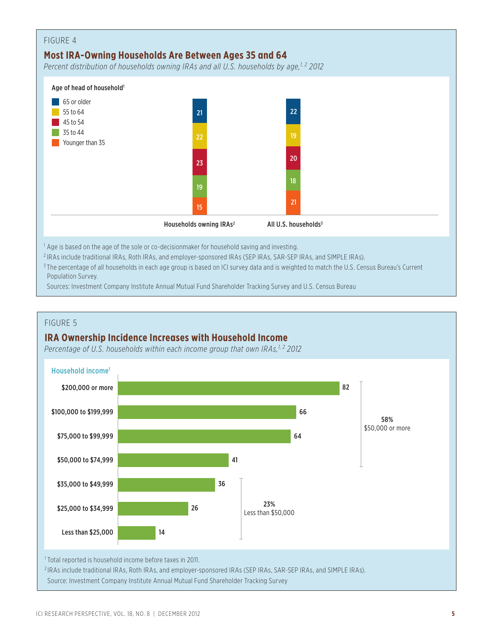

<sup>2</sup> IRAs include traditional IRAs, Roth IRAs, and employer-sponsored IRAs (SEP IRAs, SAR-SEP IRAs, and SIMPLE IRAs).

<sup>3</sup> The percentage of all households in each age group is based on ICI survey data and is weighted to match the U.S. Census Bureau's Current Population Survey.

Sources: Investment Company Institute Annual Mutual Fund Shareholder Tracking Survey and U.S. Census Bureau

#### FIGURE 5

#### **IRA Ownership Incidence Increases with Household Income**

Percentage of U.S. households within each income group that own IRAs,<sup>1,2</sup> 2012



Source: Investment Company Institute Annual Mutual Fund Shareholder Tracking Survey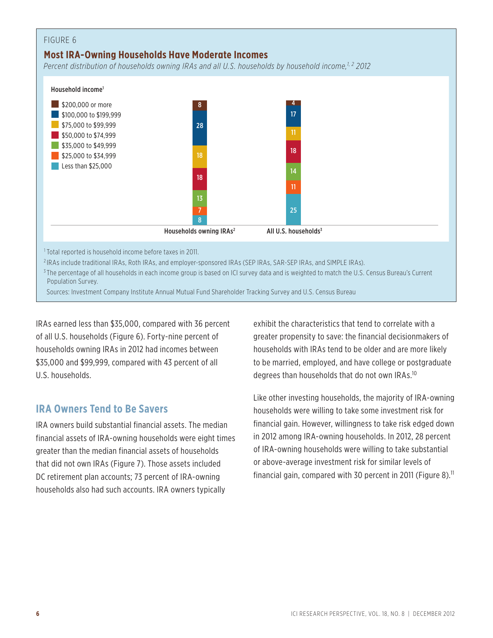#### **Most IRA-Owning Households Have Moderate Incomes**

*Percent distribution of households owning IRAs and all U.S. households by household income,1, 2 2012*



<sup>3</sup> The percentage of all households in each income group is based on ICI survey data and is weighted to match the U.S. Census Bureau's Current Population Survey.

Sources: Investment Company Institute Annual Mutual Fund Shareholder Tracking Survey and U.S. Census Bureau

IRAs earned less than \$35,000, compared with 36 percent of all U.S. households (Figure 6). Forty-nine percent of households owning IRAs in 2012 had incomes between \$35,000 and \$99,999, compared with 43 percent of all U.S. households.

#### **IRA Owners Tend to Be Savers**

IRA owners build substantial financial assets. The median financial assets of IRA-owning households were eight times greater than the median financial assets of households that did not own IRAs (Figure 7). Those assets included DC retirement plan accounts; 73 percent of IRA-owning households also had such accounts. IRA owners typically

exhibit the characteristics that tend to correlate with a greater propensity to save: the financial decisionmakers of households with IRAs tend to be older and are more likely to be married, employed, and have college or postgraduate degrees than households that do not own IRAs.10

Like other investing households, the majority of IRA-owning households were willing to take some investment risk for financial gain. However, willingness to take risk edged down in 2012 among IRA-owning households. In 2012, 28 percent of IRA-owning households were willing to take substantial or above-average investment risk for similar levels of financial gain, compared with 30 percent in 2011 (Figure 8).<sup>11</sup>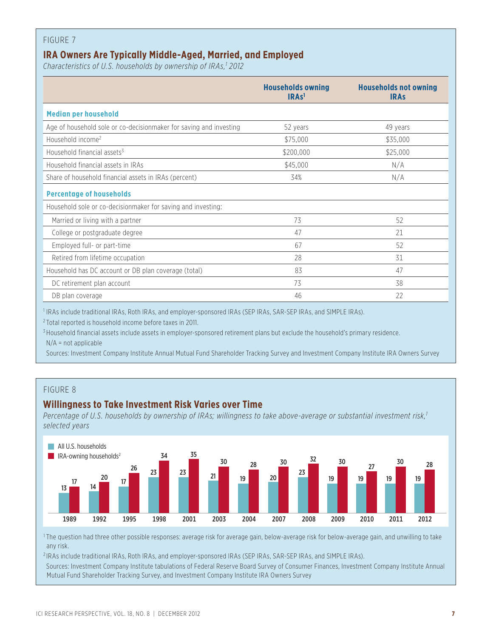#### **IRA Owners Are Typically Middle-Aged, Married, and Employed**

*Characteristics of U.S. households by ownership of IRAs,1 2012*

|                                                                    | <b>Households owning</b><br>IRAs <sup>1</sup> | <b>Households not owning</b><br><b>IRAS</b> |
|--------------------------------------------------------------------|-----------------------------------------------|---------------------------------------------|
| <b>Median per household</b>                                        |                                               |                                             |
| Age of household sole or co-decisionmaker for saving and investing | 52 years                                      | 49 years                                    |
| Household income <sup>2</sup>                                      | \$75,000                                      | \$35,000                                    |
| Household financial assets <sup>3</sup>                            | \$200,000                                     | \$25,000                                    |
| Household financial assets in IRAs                                 | \$45,000                                      | N/A                                         |
| Share of household financial assets in IRAs (percent)              | 34%                                           | N/A                                         |
| <b>Percentage of households</b>                                    |                                               |                                             |
| Household sole or co-decisionmaker for saving and investing:       |                                               |                                             |
| Married or living with a partner                                   | 73                                            | 52                                          |
| College or postgraduate degree                                     | 47                                            | 21                                          |
| Employed full- or part-time                                        | 67                                            | 52                                          |
| Retired from lifetime occupation                                   | 28                                            | 31                                          |
| Household has DC account or DB plan coverage (total)               | 83                                            | 47                                          |
| DC retirement plan account                                         | 73                                            | 38                                          |
| DB plan coverage                                                   | 46                                            | 22                                          |

<sup>1</sup> IRAs include traditional IRAs, Roth IRAs, and employer-sponsored IRAs (SEP IRAs, SAR-SEP IRAs, and SIMPLE IRAs).

<sup>2</sup> Total reported is household income before taxes in 2011.

<sup>3</sup> Household financial assets include assets in employer-sponsored retirement plans but exclude the household's primary residence. N/A = not applicable

Sources: Investment Company Institute Annual Mutual Fund Shareholder Tracking Survey and Investment Company Institute IRA Owners Survey

#### FIGURE 8

#### **Willingness to Take Investment Risk Varies over Time**

Percentage of U.S. households by ownership of IRAs; willingness to take above-average or substantial investment risk,<sup>1</sup> *selected years*



<sup>1</sup> The question had three other possible responses: average risk for average gain, below-average risk for below-average gain, and unwilling to take any risk.

<sup>2</sup> IRAs include traditional IRAs, Roth IRAs, and employer-sponsored IRAs (SEP IRAs, SAR-SEP IRAs, and SIMPLE IRAs).

Sources: Investment Company Institute tabulations of Federal Reserve Board Survey of Consumer Finances, Investment Company Institute Annual Mutual Fund Shareholder Tracking Survey, and Investment Company Institute IRA Owners Survey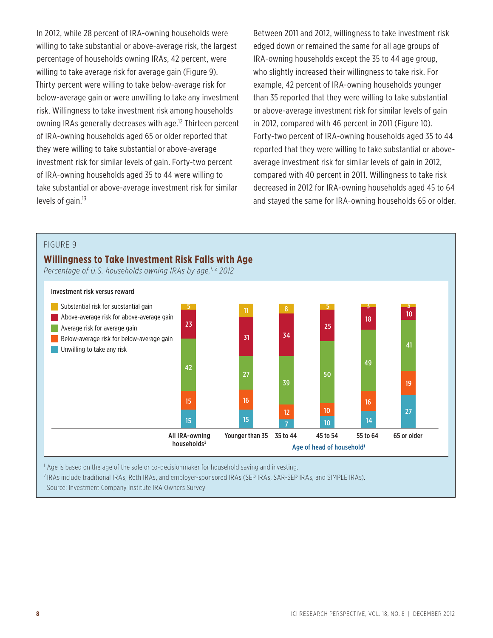In 2012, while 28 percent of IRA-owning households were willing to take substantial or above-average risk, the largest percentage of households owning IRAs, 42 percent, were willing to take average risk for average gain (Figure 9). Thirty percent were willing to take below-average risk for below-average gain or were unwilling to take any investment risk. Willingness to take investment risk among households owning IRAs generally decreases with age.<sup>12</sup> Thirteen percent of IRA-owning households aged 65 or older reported that they were willing to take substantial or above-average investment risk for similar levels of gain. Forty-two percent of IRA-owning households aged 35 to 44 were willing to take substantial or above-average investment risk for similar levels of gain. $13$ 

Between 2011 and 2012, willingness to take investment risk edged down or remained the same for all age groups of IRA-owning households except the 35 to 44 age group, who slightly increased their willingness to take risk. For example, 42 percent of IRA-owning households younger than 35 reported that they were willing to take substantial or above-average investment risk for similar levels of gain in 2012, compared with 46 percent in 2011 (Figure 10). Forty-two percent of IRA-owning households aged 35 to 44 reported that they were willing to take substantial or aboveaverage investment risk for similar levels of gain in 2012, compared with 40 percent in 2011. Willingness to take risk decreased in 2012 for IRA-owning households aged 45 to 64 and stayed the same for IRA-owning households 65 or older.

#### FIGURE 9

#### **Willingness to Take Investment Risk Falls with Age**

Percentage of U.S. households owning IRAs by age,<sup>1,2</sup> 2012



 $<sup>1</sup>$  Age is based on the age of the sole or co-decisionmaker for household saving and investing.</sup>

<sup>2</sup> IRAs include traditional IRAs, Roth IRAs, and employer-sponsored IRAs (SEP IRAs, SAR-SEP IRAs, and SIMPLE IRAs). Source: Investment Company Institute IRA Owners Survey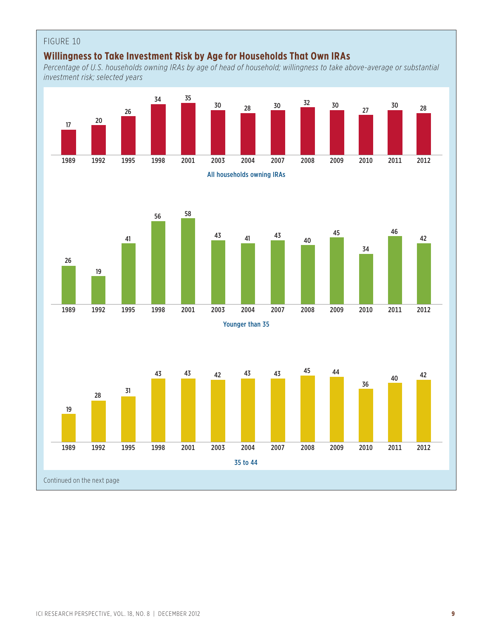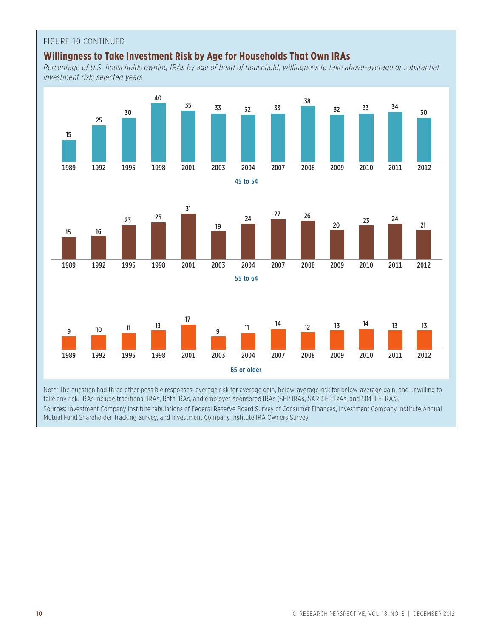#### FIGURE 10 CONTINUED

#### **Willingness to Take Investment Risk by Age for Households That Own IRAs**

*Percentage of U.S. households owning IRAs by age of head of household; willingness to take above-average or substantial investment risk; selected years*



Sources: Investment Company Institute tabulations of Federal Reserve Board Survey of Consumer Finances, Investment Company Institute Annual Mutual Fund Shareholder Tracking Survey, and Investment Company Institute IRA Owners Survey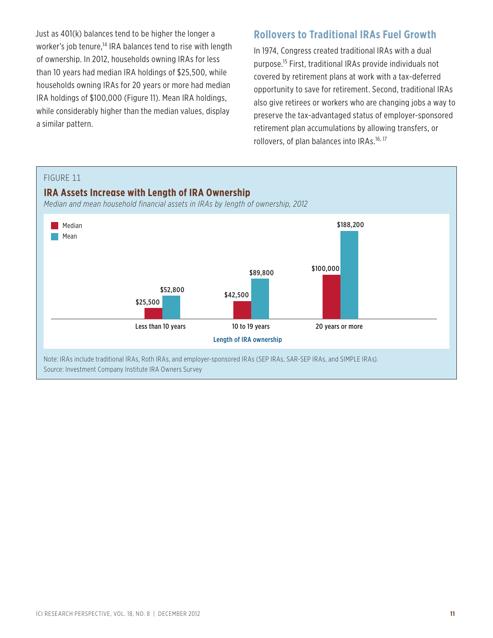Just as 401(k) balances tend to be higher the longer a worker's job tenure,<sup>14</sup> IRA balances tend to rise with length of ownership. In 2012, households owning IRAs for less than 10 years had median IRA holdings of \$25,500, while households owning IRAs for 20 years or more had median IRA holdings of \$100,000 (Figure 11). Mean IRA holdings, while considerably higher than the median values, display a similar pattern.

#### **Rollovers to Traditional IRAs Fuel Growth**

In 1974, Congress created traditional IRAs with a dual purpose.15 First, traditional IRAs provide individuals not covered by retirement plans at work with a tax-deferred opportunity to save for retirement. Second, traditional IRAs also give retirees or workers who are changing jobs a way to preserve the tax-advantaged status of employer-sponsored retirement plan accumulations by allowing transfers, or rollovers, of plan balances into IRAs.<sup>16, 17</sup>

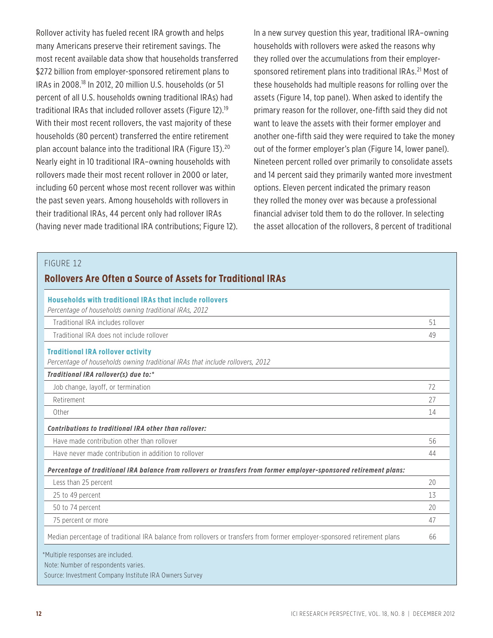Rollover activity has fueled recent IRA growth and helps many Americans preserve their retirement savings. The most recent available data show that households transferred \$272 billion from employer-sponsored retirement plans to IRAs in 2008.18 In 2012, 20 million U.S. households (or 51 percent of all U.S. households owning traditional IRAs) had traditional IRAs that included rollover assets (Figure 12).19 With their most recent rollovers, the vast majority of these households (80 percent) transferred the entire retirement plan account balance into the traditional IRA (Figure 13).<sup>20</sup> Nearly eight in 10 traditional IRA–owning households with rollovers made their most recent rollover in 2000 or later, including 60 percent whose most recent rollover was within the past seven years. Among households with rollovers in their traditional IRAs, 44 percent only had rollover IRAs (having never made traditional IRA contributions; Figure 12). In a new survey question this year, traditional IRA–owning households with rollovers were asked the reasons why they rolled over the accumulations from their employersponsored retirement plans into traditional IRAs.<sup>21</sup> Most of these households had multiple reasons for rolling over the assets (Figure 14, top panel). When asked to identify the primary reason for the rollover, one-fifth said they did not want to leave the assets with their former employer and another one-fifth said they were required to take the money out of the former employer's plan (Figure 14, lower panel). Nineteen percent rolled over primarily to consolidate assets and 14 percent said they primarily wanted more investment options. Eleven percent indicated the primary reason they rolled the money over was because a professional financial adviser told them to do the rollover. In selecting the asset allocation of the rollovers, 8 percent of traditional

| Households with traditional IRAs that include rollovers<br>Percentage of households owning traditional IRAs, 2012         |    |
|---------------------------------------------------------------------------------------------------------------------------|----|
| Traditional IRA includes rollover                                                                                         | 51 |
| Traditional IRA does not include rollover                                                                                 | 49 |
| <b>Traditional IRA rollover activity</b><br>Percentage of households owning traditional IRAs that include rollovers, 2012 |    |
| Traditional IRA rollover(s) due to:*<br>Job change, layoff, or termination                                                | 72 |
| Retirement                                                                                                                | 27 |
| Other                                                                                                                     | 14 |
| Contributions to traditional IRA other than rollover:                                                                     |    |
| Have made contribution other than rollover                                                                                | 56 |
| Have never made contribution in addition to rollover                                                                      | 44 |
| Percentage of traditional IRA balance from rollovers or transfers from former employer-sponsored retirement plans:        |    |
| Less than 25 percent                                                                                                      | 20 |
| 25 to 49 percent                                                                                                          | 13 |
| 50 to 74 percent                                                                                                          | 20 |
| 75 percent or more                                                                                                        | 47 |
| Median percentage of traditional IRA balance from rollovers or transfers from former employer-sponsored retirement plans  | 66 |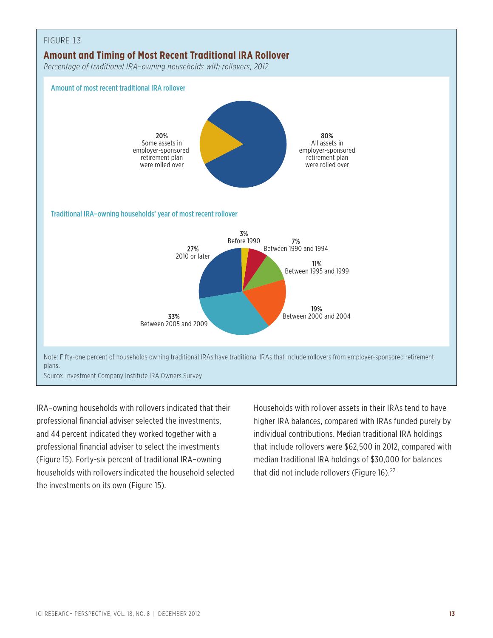

IRA–owning households with rollovers indicated that their professional financial adviser selected the investments, and 44 percent indicated they worked together with a professional financial adviser to select the investments (Figure 15). Forty-six percent of traditional IRA–owning households with rollovers indicated the household selected the investments on its own (Figure 15).

Households with rollover assets in their IRAs tend to have higher IRA balances, compared with IRAs funded purely by individual contributions. Median traditional IRA holdings that include rollovers were \$62,500 in 2012, compared with median traditional IRA holdings of \$30,000 for balances that did not include rollovers (Figure 16). $^{22}$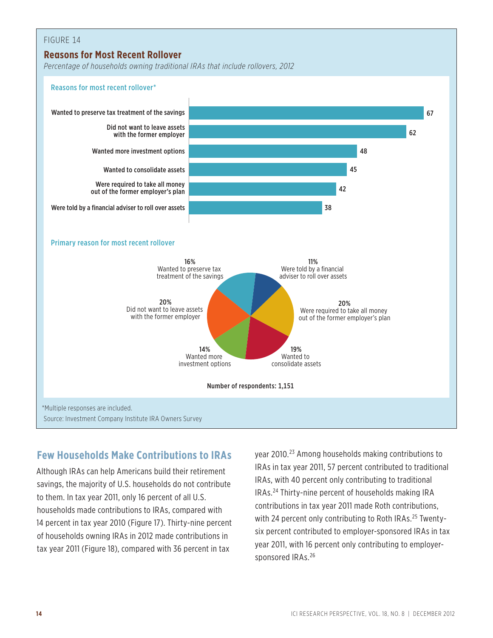#### FIGURE 14 **Reasons for Most Recent Rollover** *Percentage of households owning traditional IRAs that include rollovers, 2012* 38 42 45 48 62 Wanted to preserve tax treatment of the savings 67 million control to the same control to the savings 67 million control to the savings 67 million control to the savings 67 million control to the savings 67 million control Wanted more investment options Did not want to leave assets with the former employer Wanted to consolidate assets Were required to take all money out of the former employer's plan Were told by a financial adviser to roll over assets Reasons for most recent rollover\* Primary reason for most recent rollover 20% Did not want to leave assets with the former employer 14% Wanted more investment options 19% Wanted to consolidate assets 20% Were required to take all money out of the former employer's plan 16% Wanted to preserve tax treatment of the savings 11% Were told by a financial adviser to roll over assets Number of respondents: 1,151 \*Multiple responses are included. Source: Investment Company Institute IRA Owners Survey

#### **Few Households Make Contributions to IRAs**

Although IRAs can help Americans build their retirement savings, the majority of U.S. households do not contribute to them. In tax year 2011, only 16 percent of all U.S. households made contributions to IRAs, compared with 14 percent in tax year 2010 (Figure 17). Thirty-nine percent of households owning IRAs in 2012 made contributions in tax year 2011 (Figure 18), compared with 36 percent in tax

year 2010.23 Among households making contributions to IRAs in tax year 2011, 57 percent contributed to traditional IRAs, with 40 percent only contributing to traditional IRAs.24 Thirty-nine percent of households making IRA contributions in tax year 2011 made Roth contributions, with 24 percent only contributing to Roth IRAs.<sup>25</sup> Twentysix percent contributed to employer-sponsored IRAs in tax year 2011, with 16 percent only contributing to employersponsored IRAs.<sup>26</sup>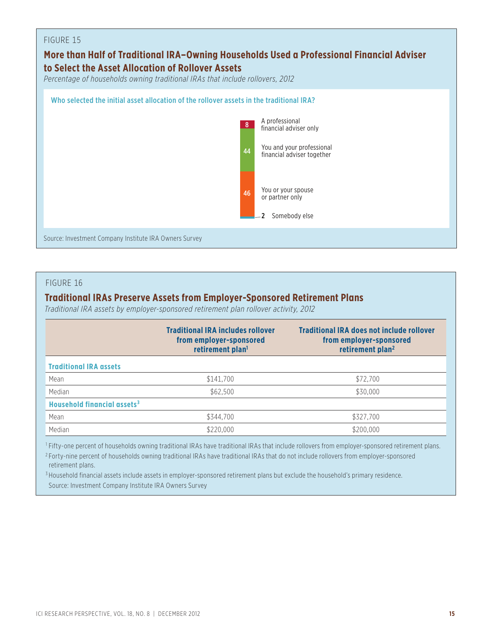#### **More than Half of Traditional IRA–Owning Households Used a Professional Financial Adviser to Select the Asset Allocation of Rollover Assets** *Percentage of households owning traditional IRAs that include rollovers, 2012*



#### FIGURE 16

#### **Traditional IRAs Preserve Assets from Employer-Sponsored Retirement Plans**

*Traditional IRA assets by employer-sponsored retirement plan rollover activity, 2012*

|                                         | <b>Traditional IRA includes rollover</b><br>from employer-sponsored<br>retirement plan <sup>1</sup> | <b>Traditional IRA does not include rollover</b><br>from employer-sponsored<br>retirement plan <sup>2</sup> |
|-----------------------------------------|-----------------------------------------------------------------------------------------------------|-------------------------------------------------------------------------------------------------------------|
| <b>Traditional IRA assets</b>           |                                                                                                     |                                                                                                             |
| Mean                                    | \$141.700                                                                                           | \$72,700                                                                                                    |
| Median                                  | \$62,500                                                                                            | \$30,000                                                                                                    |
| Household financial assets <sup>3</sup> |                                                                                                     |                                                                                                             |
| Mean                                    | \$344,700                                                                                           | \$327,700                                                                                                   |
| Median                                  | \$220,000                                                                                           | \$200,000                                                                                                   |

<sup>1</sup> Fifty-one percent of households owning traditional IRAs have traditional IRAs that include rollovers from employer-sponsored retirement plans.

<sup>2</sup> Forty-nine percent of households owning traditional IRAs have traditional IRAs that do not include rollovers from employer-sponsored retirement plans.

<sup>3</sup> Household financial assets include assets in employer-sponsored retirement plans but exclude the household's primary residence. Source: Investment Company Institute IRA Owners Survey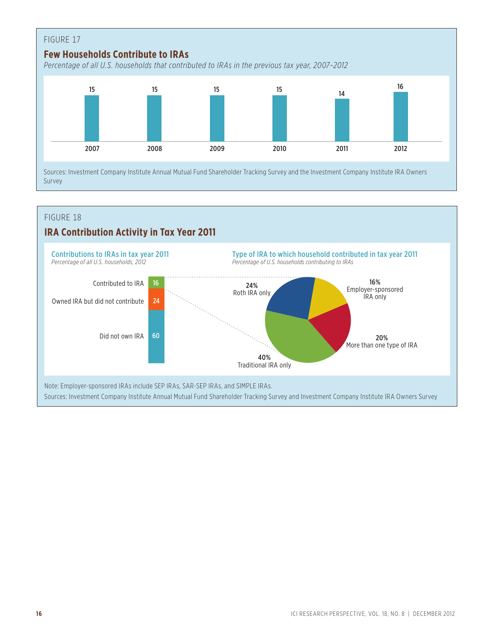

### **IRA Contribution Activity in Tax Year 2011**

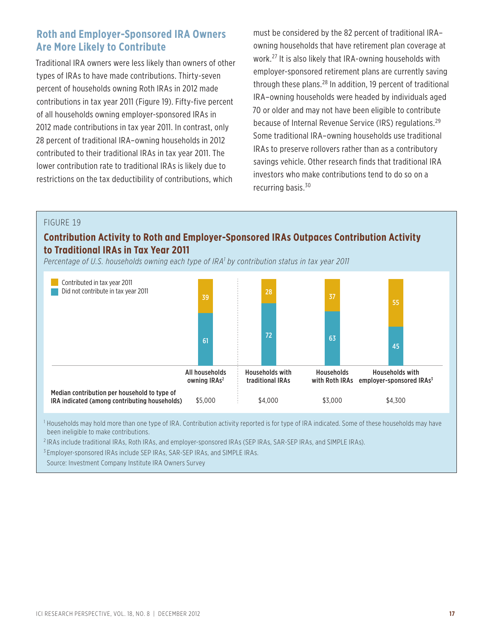#### **Roth and Employer-Sponsored IRA Owners Are More Likely to Contribute**

Traditional IRA owners were less likely than owners of other types of IRAs to have made contributions. Thirty-seven percent of households owning Roth IRAs in 2012 made contributions in tax year 2011 (Figure 19). Fifty-five percent of all households owning employer-sponsored IRAs in 2012 made contributions in tax year 2011. In contrast, only 28 percent of traditional IRA–owning households in 2012 contributed to their traditional IRAs in tax year 2011. The lower contribution rate to traditional IRAs is likely due to restrictions on the tax deductibility of contributions, which

must be considered by the 82 percent of traditional IRA– owning households that have retirement plan coverage at work.27 It is also likely that IRA-owning households with employer-sponsored retirement plans are currently saving through these plans.<sup>28</sup> In addition, 19 percent of traditional IRA–owning households were headed by individuals aged 70 or older and may not have been eligible to contribute because of Internal Revenue Service (IRS) regulations.<sup>29</sup> Some traditional IRA–owning households use traditional IRAs to preserve rollovers rather than as a contributory savings vehicle. Other research finds that traditional IRA investors who make contributions tend to do so on a recurring basis.30

#### FIGURE 19

#### **Contribution Activity to Roth and Employer-Sponsored IRAs Outpaces Contribution Activity to Traditional IRAs in Tax Year 2011**

*Percentage of U.S. households owning each type of IRA1 by contribution status in tax year 2011*



<sup>1</sup> Households may hold more than one type of IRA. Contribution activity reported is for type of IRA indicated. Some of these households may have been ineligible to make contributions.

<sup>2</sup> IRAs include traditional IRAs, Roth IRAs, and employer-sponsored IRAs (SEP IRAs, SAR-SEP IRAs, and SIMPLE IRAs).

<sup>3</sup> Employer-sponsored IRAs include SEP IRAs, SAR-SEP IRAs, and SIMPLE IRAs.

Source: Investment Company Institute IRA Owners Survey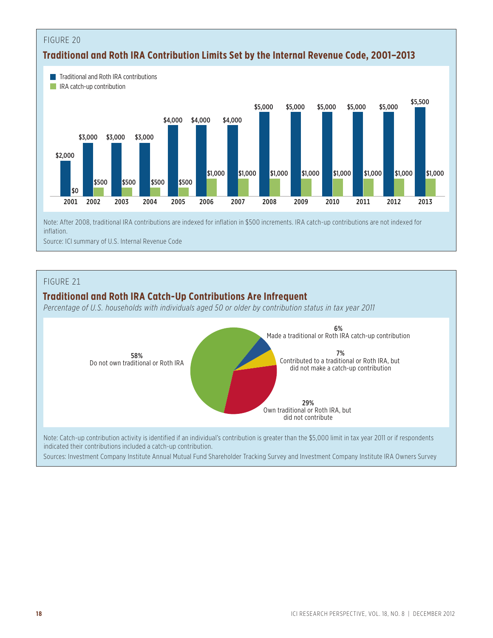

inflation.

Source: ICI summary of U.S. Internal Revenue Code

#### FIGURE 21

#### **Traditional and Roth IRA Catch-Up Contributions Are Infrequent**

*Percentage of U.S. households with individuals aged 50 or older by contribution status in tax year 2011*



indicated their contributions included a catch-up contribution.

Sources: Investment Company Institute Annual Mutual Fund Shareholder Tracking Survey and Investment Company Institute IRA Owners Survey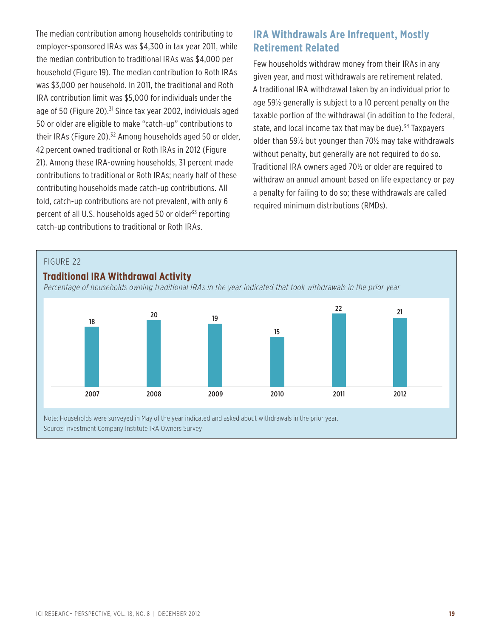The median contribution among households contributing to employer-sponsored IRAs was \$4,300 in tax year 2011, while the median contribution to traditional IRAs was \$4,000 per household (Figure 19). The median contribution to Roth IRAs was \$3,000 per household. In 2011, the traditional and Roth IRA contribution limit was \$5,000 for individuals under the age of 50 (Figure 20). $^{31}$  Since tax year 2002, individuals aged 50 or older are eligible to make "catch-up" contributions to their IRAs (Figure 20).<sup>32</sup> Among households aged 50 or older, 42 percent owned traditional or Roth IRAs in 2012 (Figure 21). Among these IRA-owning households, 31 percent made contributions to traditional or Roth IRAs; nearly half of these contributing households made catch-up contributions. All told, catch-up contributions are not prevalent, with only 6 percent of all U.S. households aged 50 or older<sup>33</sup> reporting catch-up contributions to traditional or Roth IRAs.

#### **IRA Withdrawals Are Infrequent, Mostly Retirement Related**

Few households withdraw money from their IRAs in any given year, and most withdrawals are retirement related. A traditional IRA withdrawal taken by an individual prior to age 59½ generally is subject to a 10 percent penalty on the taxable portion of the withdrawal (in addition to the federal, state, and local income tax that may be due). $34$  Taxpayers older than 59½ but younger than 70½ may take withdrawals without penalty, but generally are not required to do so. Traditional IRA owners aged 70½ or older are required to withdraw an annual amount based on life expectancy or pay a penalty for failing to do so; these withdrawals are called required minimum distributions (RMDs).

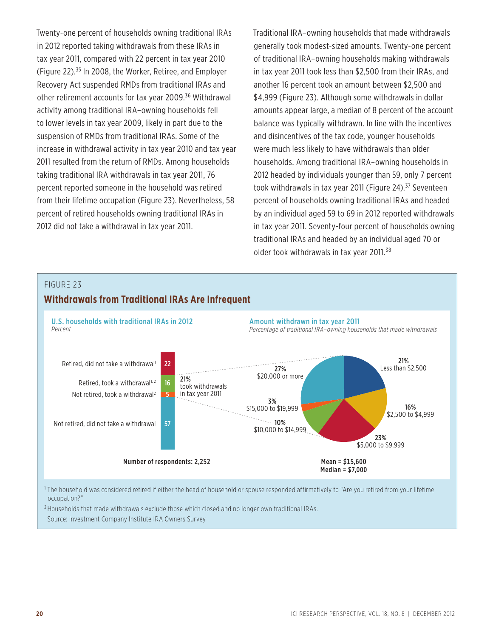Twenty-one percent of households owning traditional IRAs in 2012 reported taking withdrawals from these IRAs in tax year 2011, compared with 22 percent in tax year 2010 (Figure 22).35 In 2008, the Worker, Retiree, and Employer Recovery Act suspended RMDs from traditional IRAs and other retirement accounts for tax year 2009.36 Withdrawal activity among traditional IRA–owning households fell to lower levels in tax year 2009, likely in part due to the suspension of RMDs from traditional IRAs. Some of the increase in withdrawal activity in tax year 2010 and tax year 2011 resulted from the return of RMDs. Among households taking traditional IRA withdrawals in tax year 2011, 76 percent reported someone in the household was retired from their lifetime occupation (Figure 23). Nevertheless, 58 percent of retired households owning traditional IRAs in 2012 did not take a withdrawal in tax year 2011.

Traditional IRA–owning households that made withdrawals generally took modest-sized amounts. Twenty-one percent of traditional IRA–owning households making withdrawals in tax year 2011 took less than \$2,500 from their IRAs, and another 16 percent took an amount between \$2,500 and \$4,999 (Figure 23). Although some withdrawals in dollar amounts appear large, a median of 8 percent of the account balance was typically withdrawn. In line with the incentives and disincentives of the tax code, younger households were much less likely to have withdrawals than older households. Among traditional IRA–owning households in 2012 headed by individuals younger than 59, only 7 percent took withdrawals in tax year 2011 (Figure 24).<sup>37</sup> Seventeen percent of households owning traditional IRAs and headed by an individual aged 59 to 69 in 2012 reported withdrawals in tax year 2011. Seventy-four percent of households owning traditional IRAs and headed by an individual aged 70 or older took withdrawals in tax year 2011.<sup>38</sup>

#### FIGURE 23



<sup>1</sup> The household was considered retired if either the head of household or spouse responded affirmatively to "Are you retired from your lifetime occupation?"

<sup>2</sup> Households that made withdrawals exclude those which closed and no longer own traditional IRAs. Source: Investment Company Institute IRA Owners Survey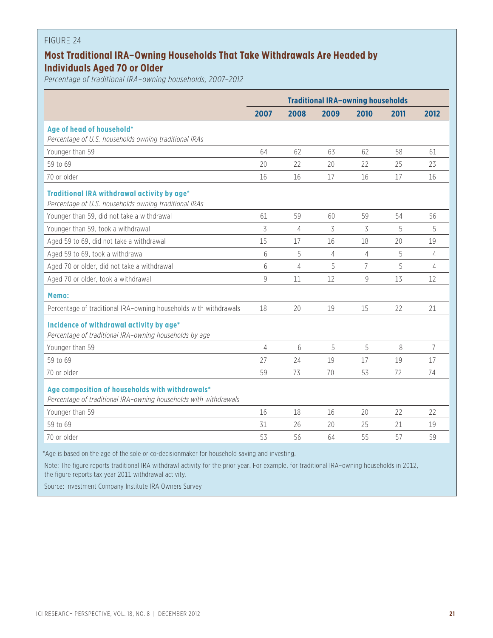#### **Most Traditional IRA–Owning Households That Take Withdrawals Are Headed by Individuals Aged 70 or Older**

*Percentage of traditional IRA–owning households, 2007–2012*

|                                                                                                                     | <b>Traditional IRA-owning households</b> |      |      |                |      |      |
|---------------------------------------------------------------------------------------------------------------------|------------------------------------------|------|------|----------------|------|------|
|                                                                                                                     | 2007                                     | 2008 | 2009 | 2010           | 2011 | 2012 |
| Age of head of household*<br>Percentage of U.S. households owning traditional IRAs                                  |                                          |      |      |                |      |      |
| Younger than 59                                                                                                     | 64                                       | 62   | 63   | 62             | 58   | 61   |
| 59 to 69                                                                                                            | 20                                       | 22   | 20   | 22             | 25   | 23   |
| 70 or older                                                                                                         | 16                                       | 16   | 17   | 16             | 17   | 16   |
| Traditional IRA withdrawal activity by age*<br>Percentage of U.S. households owning traditional IRAs                |                                          |      |      |                |      |      |
| Younger than 59, did not take a withdrawal                                                                          | 61                                       | 59   | 60   | 59             | 54   | 56   |
| Younger than 59, took a withdrawal                                                                                  | 3                                        | 4    | 3    | 3              | 5    | 5    |
| Aged 59 to 69, did not take a withdrawal                                                                            | 15                                       | 17   | 16   | 18             | 20   | 19   |
| Aged 59 to 69, took a withdrawal                                                                                    | 6                                        | 5    | 4    | 4              | 5    | 4    |
| Aged 70 or older, did not take a withdrawal                                                                         | 6                                        | 4    | 5    | $\overline{7}$ | 5    | 4    |
| Aged 70 or older, took a withdrawal                                                                                 | 9                                        | 11   | 12   | 9              | 13   | 12   |
| Memo:                                                                                                               |                                          |      |      |                |      |      |
| Percentage of traditional IRA-owning households with withdrawals                                                    | 18                                       | 20   | 19   | 15             | 22   | 21   |
| Incidence of withdrawal activity by age*<br>Percentage of traditional IRA-owning households by age                  |                                          |      |      |                |      |      |
| Younger than 59                                                                                                     | $\overline{4}$                           | 6    | 5    | 5              | 8    | 7    |
| 59 to 69                                                                                                            | 27                                       | 24   | 19   | 17             | 19   | 17   |
| 70 or older                                                                                                         | 59                                       | 73   | 70   | 53             | 72   | 74   |
| Age composition of households with withdrawals*<br>Percentage of traditional IRA-owning households with withdrawals |                                          |      |      |                |      |      |
| Younger than 59                                                                                                     | 16                                       | 18   | 16   | 20             | 22   | 22   |
| 59 to 69                                                                                                            | 31                                       | 26   | 20   | 25             | 21   | 19   |
| 70 or older                                                                                                         | 53                                       | 56   | 64   | 55             | 57   | 59   |
| *Age is based on the age of the sole or co-decisionmaker for household saving and investing.                        |                                          |      |      |                |      |      |

Note: The figure reports traditional IRA withdrawl activity for the prior year. For example, for traditional IRA–owning households in 2012, the figure reports tax year 2011 withdrawal activity.

Source: Investment Company Institute IRA Owners Survey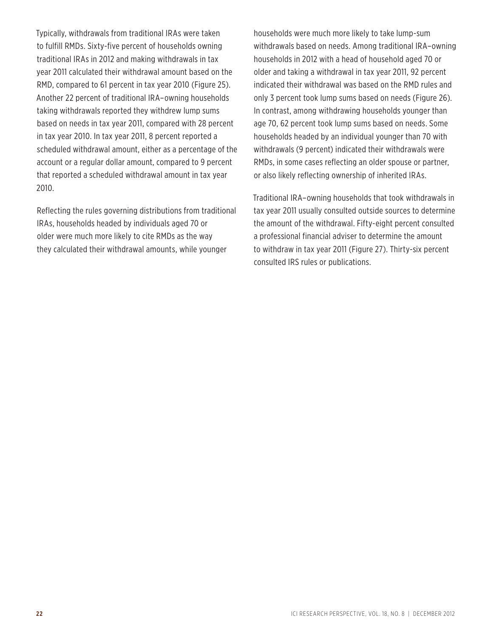Typically, withdrawals from traditional IRAs were taken to fulfill RMDs. Sixty-five percent of households owning traditional IRAs in 2012 and making withdrawals in tax year 2011 calculated their withdrawal amount based on the RMD, compared to 61 percent in tax year 2010 (Figure 25). Another 22 percent of traditional IRA–owning households taking withdrawals reported they withdrew lump sums based on needs in tax year 2011, compared with 28 percent in tax year 2010. In tax year 2011, 8 percent reported a scheduled withdrawal amount, either as a percentage of the account or a regular dollar amount, compared to 9 percent that reported a scheduled withdrawal amount in tax year 2010.

Reflecting the rules governing distributions from traditional IRAs, households headed by individuals aged 70 or older were much more likely to cite RMDs as the way they calculated their withdrawal amounts, while younger

households were much more likely to take lump-sum withdrawals based on needs. Among traditional IRA–owning households in 2012 with a head of household aged 70 or older and taking a withdrawal in tax year 2011, 92 percent indicated their withdrawal was based on the RMD rules and only 3 percent took lump sums based on needs (Figure 26). In contrast, among withdrawing households younger than age 70, 62 percent took lump sums based on needs. Some households headed by an individual younger than 70 with withdrawals (9 percent) indicated their withdrawals were RMDs, in some cases reflecting an older spouse or partner, or also likely reflecting ownership of inherited IRAs.

Traditional IRA–owning households that took withdrawals in tax year 2011 usually consulted outside sources to determine the amount of the withdrawal. Fifty-eight percent consulted a professional financial adviser to determine the amount to withdraw in tax year 2011 (Figure 27). Thirty-six percent consulted IRS rules or publications.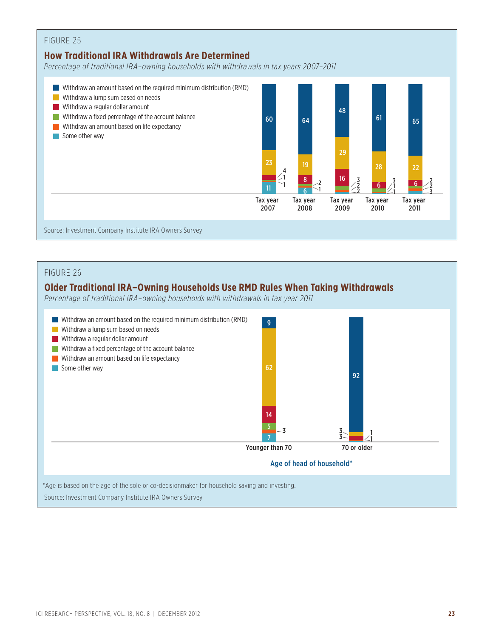#### FIGURE 25 **How Traditional IRA Withdrawals Are Determined** *Percentage of traditional IRA–owning households with withdrawals in tax years 2007–2011* Withdraw an amount based on the required minimum distribution (RMD) **Withdraw a lump sum based on needs Withdraw a regular dollar amount** Withdraw a fixed percentage of the account balance **Withdraw an amount based on life expectancy** Some other way Tax year 2007 60 23 1  $\overline{11}$  1 Tax year 2008 2 1 64 19 8 6 Tax year 2009 3 2 2 48 29 16 4 Tax year 2010 3 1 1 61 28 6 Tax year 2011 2 2 3 65 22 6 Source: Investment Company Institute IRA Owners Survey

#### FIGURE 26

#### **Older Traditional IRA–Owning Households Use RMD Rules When Taking Withdrawals**

*Percentage of traditional IRA–owning households with withdrawals in tax year 2011*

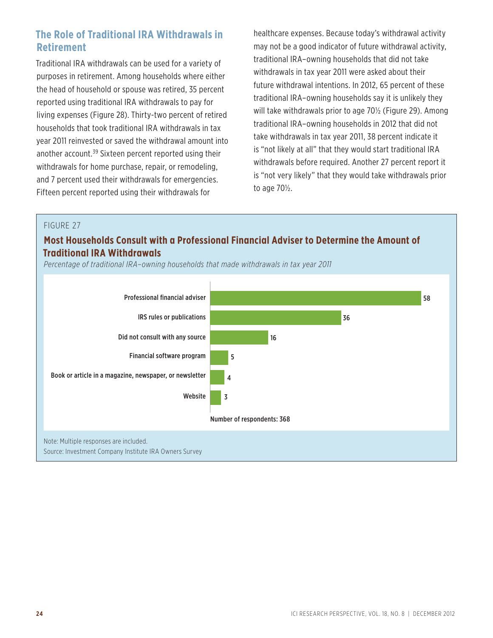#### **The Role of Traditional IRA Withdrawals in Retirement**

Traditional IRA withdrawals can be used for a variety of purposes in retirement. Among households where either the head of household or spouse was retired, 35 percent reported using traditional IRA withdrawals to pay for living expenses (Figure 28). Thirty-two percent of retired households that took traditional IRA withdrawals in tax year 2011 reinvested or saved the withdrawal amount into another account.<sup>39</sup> Sixteen percent reported using their withdrawals for home purchase, repair, or remodeling, and 7 percent used their withdrawals for emergencies. Fifteen percent reported using their withdrawals for

healthcare expenses. Because today's withdrawal activity may not be a good indicator of future withdrawal activity, traditional IRA–owning households that did not take withdrawals in tax year 2011 were asked about their future withdrawal intentions. In 2012, 65 percent of these traditional IRA–owning households say it is unlikely they will take withdrawals prior to age 70½ (Figure 29). Among traditional IRA–owning households in 2012 that did not take withdrawals in tax year 2011, 38 percent indicate it is "not likely at all" that they would start traditional IRA withdrawals before required. Another 27 percent report it is "not very likely" that they would take withdrawals prior to age 70½.

#### FIGURE 27

#### **Most Households Consult with a Professional Financial Adviser to Determine the Amount of Traditional IRA Withdrawals**

*Percentage of traditional IRA–owning households that made withdrawals in tax year 2011*

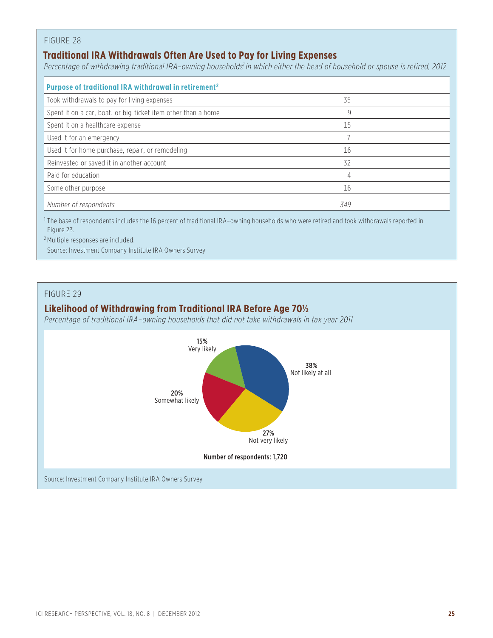#### **Traditional IRA Withdrawals Often Are Used to Pay for Living Expenses**

Percentage of withdrawing traditional IRA-owning households<sup>1</sup> in which either the head of household or spouse is retired, 2012

| Purpose of traditional IRA withdrawal in retirement <sup>2</sup> |     |
|------------------------------------------------------------------|-----|
| Took withdrawals to pay for living expenses                      | 35  |
| Spent it on a car, boat, or big-ticket item other than a home    | 9   |
| Spent it on a healthcare expense                                 | 15  |
| Used it for an emergency                                         |     |
| Used it for home purchase, repair, or remodeling                 | 16  |
| Reinvested or saved it in another account                        | 32  |
| Paid for education                                               | 4   |
| Some other purpose                                               | 16  |
| Number of respondents                                            | 349 |

<sup>1</sup> The base of respondents includes the 16 percent of traditional IRA–owning households who were retired and took withdrawals reported in Figure 23.

<sup>2</sup> Multiple responses are included.

Source: Investment Company Institute IRA Owners Survey



#### **Likelihood of Withdrawing from Traditional IRA Before Age 70½**

*Percentage of traditional IRA–owning households that did not take withdrawals in tax year 2011*

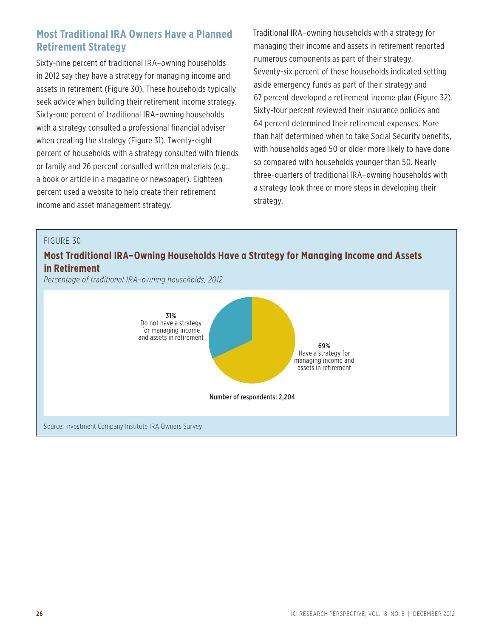#### **Most Traditional IRA Owners Have a Planned Retirement Strategy**

Sixty-nine percent of traditional IRA–owning households in 2012 say they have a strategy for managing income and assets in retirement (Figure 30). These households typically seek advice when building their retirement income strategy. Sixty-one percent of traditional IRA–owning households with a strategy consulted a professional financial adviser when creating the strategy (Figure 31). Twenty-eight percent of households with a strategy consulted with friends or family and 26 percent consulted written materials (e.g., a book or article in a magazine or newspaper). Eighteen percent used a website to help create their retirement income and asset management strategy.

Traditional IRA–owning households with a strategy for managing their income and assets in retirement reported numerous components as part of their strategy. Seventy-six percent of these households indicated setting aside emergency funds as part of their strategy and 67 percent developed a retirement income plan (Figure 32). Sixty-four percent reviewed their insurance policies and 64 percent determined their retirement expenses. More than half determined when to take Social Security benefits, with households aged 50 or older more likely to have done so compared with households younger than 50. Nearly three-quarters of traditional IRA–owning households with a strategy took three or more steps in developing their strategy.

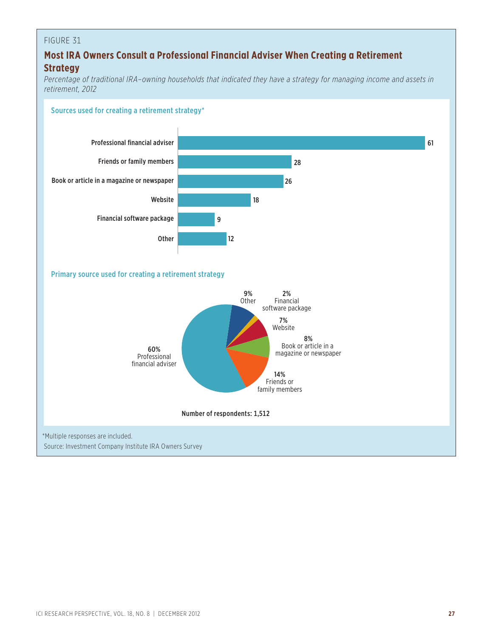#### **Most IRA Owners Consult a Professional Financial Adviser When Creating a Retirement Strategy**

*Percentage of traditional IRA–owning households that indicated they have a strategy for managing income and assets in retirement, 2012*

#### Sources used for creating a retirement strategy\*

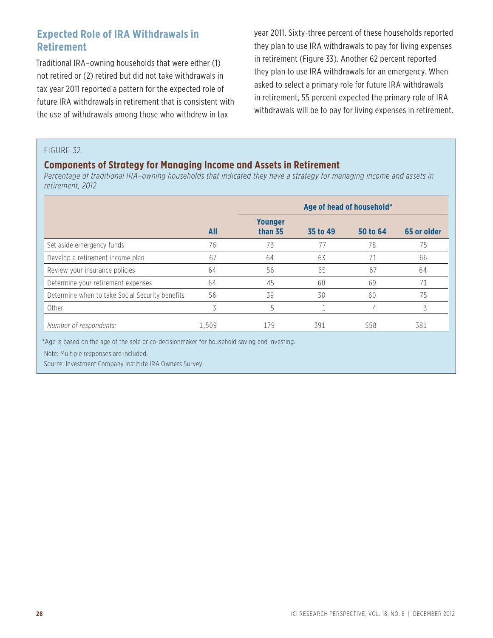#### **Expected Role of IRA Withdrawals in Retirement**

Traditional IRA–owning households that were either (1) not retired or (2) retired but did not take withdrawals in tax year 2011 reported a pattern for the expected role of future IRA withdrawals in retirement that is consistent with the use of withdrawals among those who withdrew in tax

year 2011. Sixty-three percent of these households reported they plan to use IRA withdrawals to pay for living expenses in retirement (Figure 33). Another 62 percent reported they plan to use IRA withdrawals for an emergency. When asked to select a primary role for future IRA withdrawals in retirement, 55 percent expected the primary role of IRA withdrawals will be to pay for living expenses in retirement.

#### FIGURE 32

#### **Components of Strategy for Managing Income and Assets in Retirement**

*Percentage of traditional IRA–owning households that indicated they have a strategy for managing income and assets in retirement, 2012*

|                                                 |       | Age of head of household* |          |          |             |
|-------------------------------------------------|-------|---------------------------|----------|----------|-------------|
|                                                 | All   | <b>Younger</b><br>than 35 | 35 to 49 | 50 to 64 | 65 or older |
| Set aside emergency funds                       | 76    | 73                        |          | 78       | 75          |
| Develop a retirement income plan                | 67    | 64                        | 63       | 71       | 66          |
| Review your insurance policies                  | 64    | 56                        | 65       | 67       | 64          |
| Determine your retirement expenses              | 64    | 45                        | 60       | 69       | 71          |
| Determine when to take Social Security benefits | 56    | 39                        | 38       | 60       | 75          |
| Other                                           | 3     | 5                         |          | 4        | 3           |
| Number of respondents:                          | 1,509 | 179                       | 391      | 558      | 381         |

\*Age is based on the age of the sole or co-decisionmaker for household saving and investing.

Note: Multiple responses are included.

Source: Investment Company Institute IRA Owners Survey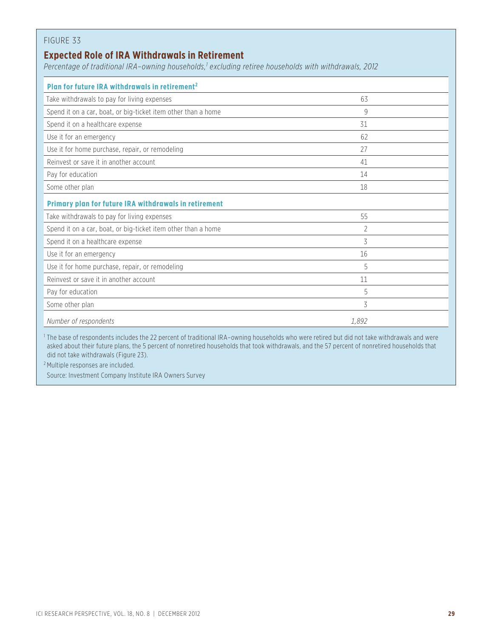#### **Expected Role of IRA Withdrawals in Retirement**

*Percentage of traditional IRA–owning households,1 excluding retiree households with withdrawals, 2012*

| Plan for future IRA withdrawals in retirement <sup>2</sup>                                                                                                                                                                                                                                |                                                                                                                                                                                                                                |  |  |  |  |
|-------------------------------------------------------------------------------------------------------------------------------------------------------------------------------------------------------------------------------------------------------------------------------------------|--------------------------------------------------------------------------------------------------------------------------------------------------------------------------------------------------------------------------------|--|--|--|--|
| Take withdrawals to pay for living expenses                                                                                                                                                                                                                                               | 63                                                                                                                                                                                                                             |  |  |  |  |
| Spend it on a car, boat, or big-ticket item other than a home                                                                                                                                                                                                                             | 9                                                                                                                                                                                                                              |  |  |  |  |
| Spend it on a healthcare expense                                                                                                                                                                                                                                                          | 31                                                                                                                                                                                                                             |  |  |  |  |
| Use it for an emergency                                                                                                                                                                                                                                                                   | 62                                                                                                                                                                                                                             |  |  |  |  |
| Use it for home purchase, repair, or remodeling                                                                                                                                                                                                                                           | 27                                                                                                                                                                                                                             |  |  |  |  |
| Reinvest or save it in another account                                                                                                                                                                                                                                                    | 41                                                                                                                                                                                                                             |  |  |  |  |
| Pay for education                                                                                                                                                                                                                                                                         | 14                                                                                                                                                                                                                             |  |  |  |  |
| Some other plan                                                                                                                                                                                                                                                                           | 18                                                                                                                                                                                                                             |  |  |  |  |
| Primary plan for future IRA withdrawals in retirement                                                                                                                                                                                                                                     |                                                                                                                                                                                                                                |  |  |  |  |
| Take withdrawals to pay for living expenses                                                                                                                                                                                                                                               | 55                                                                                                                                                                                                                             |  |  |  |  |
| Spend it on a car, boat, or big-ticket item other than a home                                                                                                                                                                                                                             | 2                                                                                                                                                                                                                              |  |  |  |  |
| Spend it on a healthcare expense                                                                                                                                                                                                                                                          | 3                                                                                                                                                                                                                              |  |  |  |  |
| Use it for an emergency                                                                                                                                                                                                                                                                   | 16                                                                                                                                                                                                                             |  |  |  |  |
| Use it for home purchase, repair, or remodeling                                                                                                                                                                                                                                           | 5                                                                                                                                                                                                                              |  |  |  |  |
| Reinvest or save it in another account                                                                                                                                                                                                                                                    | 11                                                                                                                                                                                                                             |  |  |  |  |
| Pay for education                                                                                                                                                                                                                                                                         | 5                                                                                                                                                                                                                              |  |  |  |  |
| Some other plan                                                                                                                                                                                                                                                                           | 3                                                                                                                                                                                                                              |  |  |  |  |
| Number of respondents                                                                                                                                                                                                                                                                     | 1.892                                                                                                                                                                                                                          |  |  |  |  |
| $1 - i$ , $i$ , $j$ , $k$ , $k$ , $k$ , $k$ , $k$ , $k$<br>the second contract the second contract of the second contract of the second contract of the second contract of the second contract of the second contract of the second contract of the second contract of the second contrac | the contract of the contract of the contract of the contract of the contract of the contract of the contract of the contract of the contract of the contract of the contract of the contract of the contract of the contract o |  |  |  |  |

<sup>1</sup> The base of respondents includes the 22 percent of traditional IRA-owning households who were retired but did not take withdrawals and were asked about their future plans, the 5 percent of nonretired households that took withdrawals, and the 57 percent of nonretired households that did not take withdrawals (Figure 23).

<sup>2</sup> Multiple responses are included.

Source: Investment Company Institute IRA Owners Survey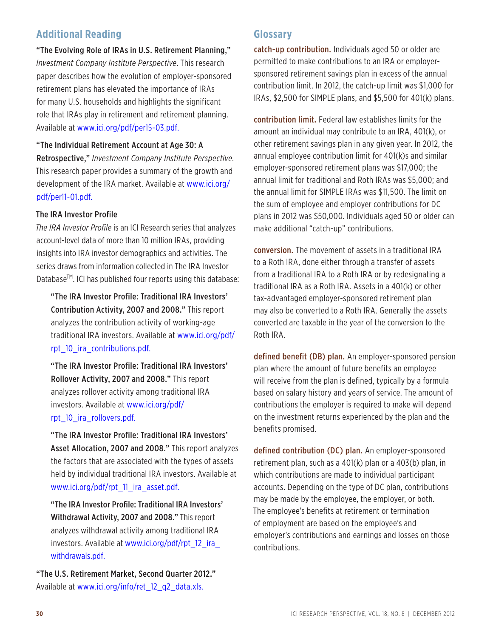#### **Additional Reading**

"The Evolving Role of IRAs in U.S. Retirement Planning," *Investment Company Institute Perspective*. This research paper describes how the evolution of employer-sponsored retirement plans has elevated the importance of IRAs for many U.S. households and highlights the significant role that IRAs play in retirement and retirement planning. Available at www.ici.org/pdf/per15-03.pdf.

#### "The Individual Retirement Account at Age 30: A

Retrospective," *Investment Company Institute Perspective*. This research paper provides a summary of the growth and development of the IRA market. Available at www.ici.org/ pdf/per11-01.pdf.

#### The IRA Investor Profile

*The IRA Investor Profile* is an ICI Research series that analyzes account-level data of more than 10 million IRAs, providing insights into IRA investor demographics and activities. The series draws from information collected in The IRA Investor Database<sup>™</sup>. ICI has published four reports using this database:

"The IRA Investor Profile: Traditional IRA Investors' Contribution Activity, 2007 and 2008." This report analyzes the contribution activity of working-age traditional IRA investors. Available at www.ici.org/pdf/ rpt\_10\_ira\_contributions.pdf.

"The IRA Investor Profile: Traditional IRA Investors' Rollover Activity, 2007 and 2008." This report analyzes rollover activity among traditional IRA investors. Available at www.ici.org/pdf/ rpt\_10\_ira\_rollovers.pdf.

"The IRA Investor Profile: Traditional IRA Investors' Asset Allocation, 2007 and 2008." This report analyzes the factors that are associated with the types of assets held by individual traditional IRA investors. Available at www.ici.org/pdf/rpt\_11\_ira\_asset.pdf.

"The IRA Investor Profile: Traditional IRA Investors' Withdrawal Activity, 2007 and 2008." This report analyzes withdrawal activity among traditional IRA investors. Available at www.ici.org/pdf/rpt\_12\_ira withdrawals.pdf.

"The U.S. Retirement Market, Second Quarter 2012." Available at www.ici.org/info/ret\_12\_q2\_data.xls.

#### **Glossary**

catch-up contribution. Individuals aged 50 or older are permitted to make contributions to an IRA or employersponsored retirement savings plan in excess of the annual contribution limit. In 2012, the catch-up limit was \$1,000 for IRAs, \$2,500 for SIMPLE plans, and \$5,500 for 401(k) plans.

contribution limit. Federal law establishes limits for the amount an individual may contribute to an IRA, 401(k), or other retirement savings plan in any given year. In 2012, the annual employee contribution limit for 401(k)s and similar employer-sponsored retirement plans was \$17,000; the annual limit for traditional and Roth IRAs was \$5,000; and the annual limit for SIMPLE IRAs was \$11,500. The limit on the sum of employee and employer contributions for DC plans in 2012 was \$50,000. Individuals aged 50 or older can make additional "catch-up" contributions.

conversion. The movement of assets in a traditional IRA to a Roth IRA, done either through a transfer of assets from a traditional IRA to a Roth IRA or by redesignating a traditional IRA as a Roth IRA. Assets in a 401(k) or other tax-advantaged employer-sponsored retirement plan may also be converted to a Roth IRA. Generally the assets converted are taxable in the year of the conversion to the Roth IRA.

defined benefit (DB) plan. An employer-sponsored pension plan where the amount of future benefits an employee will receive from the plan is defined, typically by a formula based on salary history and years of service. The amount of contributions the employer is required to make will depend on the investment returns experienced by the plan and the benefits promised.

defined contribution (DC) plan. An employer-sponsored retirement plan, such as a 401(k) plan or a 403(b) plan, in which contributions are made to individual participant accounts. Depending on the type of DC plan, contributions may be made by the employee, the employer, or both. The employee's benefits at retirement or termination of employment are based on the employee's and employer's contributions and earnings and losses on those contributions.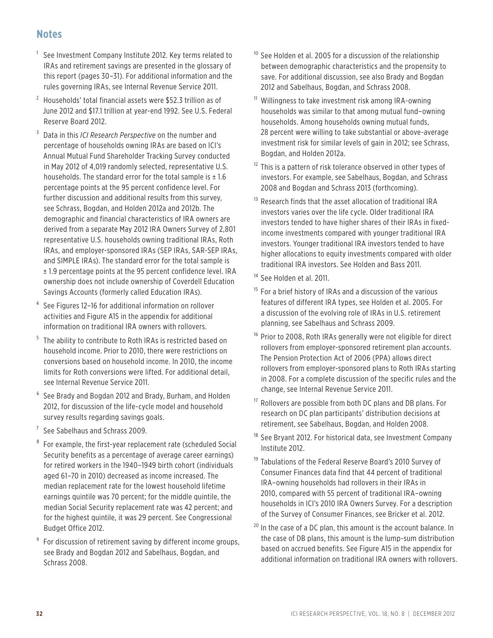#### **Notes**

- <sup>1</sup> See Investment Company Institute 2012. Key terms related to IRAs and retirement savings are presented in the glossary of this report (pages 30–31). For additional information and the rules governing IRAs, see Internal Revenue Service 2011.
- $2$  Households' total financial assets were \$52.3 trillion as of June 2012 and \$17.1 trillion at year-end 1992. See U.S. Federal Reserve Board 2012.
- <sup>3</sup> Data in this *ICI Research Perspective* on the number and percentage of households owning IRAs are based on ICI's Annual Mutual Fund Shareholder Tracking Survey conducted in May 2012 of 4,019 randomly selected, representative U.S. households. The standard error for the total sample is  $\pm 1.6$ percentage points at the 95 percent confidence level. For further discussion and additional results from this survey, see Schrass, Bogdan, and Holden 2012a and 2012b. The demographic and financial characteristics of IRA owners are derived from a separate May 2012 IRA Owners Survey of 2,801 representative U.S. households owning traditional IRAs, Roth IRAs, and employer-sponsored IRAs (SEP IRAs, SAR-SEP IRAs, and SIMPLE IRAs). The standard error for the total sample is ± 1.9 percentage points at the 95 percent confidence level. IRA ownership does not include ownership of Coverdell Education Savings Accounts (formerly called Education IRAs).
- See Figures 12-16 for additional information on rollover activities and Figure A15 in the appendix for additional information on traditional IRA owners with rollovers.
- <sup>5</sup> The ability to contribute to Roth IRAs is restricted based on household income. Prior to 2010, there were restrictions on conversions based on household income. In 2010, the income limits for Roth conversions were lifted. For additional detail, see Internal Revenue Service 2011.
- <sup>6</sup> See Brady and Bogdan 2012 and Brady, Burham, and Holden 2012, for discussion of the life-cycle model and household survey results regarding savings goals.
- $7$  See Sabelhaus and Schrass 2009.
- <sup>8</sup> For example, the first-year replacement rate (scheduled Social Security benefits as a percentage of average career earnings) for retired workers in the 1940–1949 birth cohort (individuals aged 61–70 in 2010) decreased as income increased. The median replacement rate for the lowest household lifetime earnings quintile was 70 percent; for the middle quintile, the median Social Security replacement rate was 42 percent; and for the highest quintile, it was 29 percent. See Congressional Budget Office 2012.
- <sup>9</sup> For discussion of retirement saving by different income groups, see Brady and Bogdan 2012 and Sabelhaus, Bogdan, and Schrass 2008.
- $10$  See Holden et al. 2005 for a discussion of the relationship between demographic characteristics and the propensity to save. For additional discussion, see also Brady and Bogdan 2012 and Sabelhaus, Bogdan, and Schrass 2008.
- <sup>11</sup> Willingness to take investment risk among IRA-owning households was similar to that among mutual fund–owning households. Among households owning mutual funds, 28 percent were willing to take substantial or above-average investment risk for similar levels of gain in 2012; see Schrass, Bogdan, and Holden 2012a.
- $12$  This is a pattern of risk tolerance observed in other types of investors. For example, see Sabelhaus, Bogdan, and Schrass 2008 and Bogdan and Schrass 2013 (forthcoming).
- <sup>13</sup> Research finds that the asset allocation of traditional IRA investors varies over the life cycle. Older traditional IRA investors tended to have higher shares of their IRAs in fixedincome investments compared with younger traditional IRA investors. Younger traditional IRA investors tended to have higher allocations to equity investments compared with older traditional IRA investors. See Holden and Bass 2011.
- <sup>14</sup> See Holden et al. 2011.
- <sup>15</sup> For a brief history of IRAs and a discussion of the various features of different IRA types, see Holden et al. 2005. For a discussion of the evolving role of IRAs in U.S. retirement planning, see Sabelhaus and Schrass 2009.
- <sup>16</sup> Prior to 2008, Roth IRAs generally were not eligible for direct rollovers from employer-sponsored retirement plan accounts. The Pension Protection Act of 2006 (PPA) allows direct rollovers from employer-sponsored plans to Roth IRAs starting in 2008. For a complete discussion of the specific rules and the change, see Internal Revenue Service 2011.
- <sup>17</sup> Rollovers are possible from both DC plans and DB plans. For research on DC plan participants' distribution decisions at retirement, see Sabelhaus, Bogdan, and Holden 2008.
- <sup>18</sup> See Bryant 2012. For historical data, see Investment Company Institute 2012.
- <sup>19</sup> Tabulations of the Federal Reserve Board's 2010 Survey of Consumer Finances data find that 44 percent of traditional IRA–owning households had rollovers in their IRAs in 2010, compared with 55 percent of traditional IRA–owning households in ICI's 2010 IRA Owners Survey. For a description of the Survey of Consumer Finances, see Bricker et al. 2012.
- $20$  In the case of a DC plan, this amount is the account balance. In the case of DB plans, this amount is the lump-sum distribution based on accrued benefits. See Figure A15 in the appendix for additional information on traditional IRA owners with rollovers.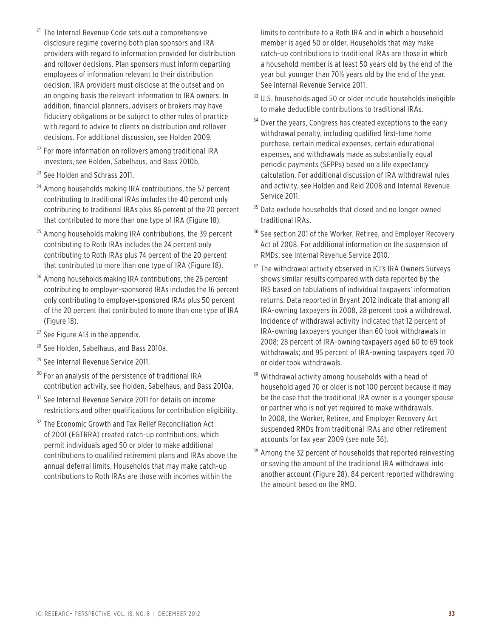- <sup>21</sup> The Internal Revenue Code sets out a comprehensive disclosure regime covering both plan sponsors and IRA providers with regard to information provided for distribution and rollover decisions. Plan sponsors must inform departing employees of information relevant to their distribution decision. IRA providers must disclose at the outset and on an ongoing basis the relevant information to IRA owners. In addition, financial planners, advisers or brokers may have fiduciary obligations or be subject to other rules of practice with regard to advice to clients on distribution and rollover decisions. For additional discussion, see Holden 2009.
- <sup>22</sup> For more information on rollovers among traditional IRA investors, see Holden, Sabelhaus, and Bass 2010b.
- <sup>23</sup> See Holden and Schrass 2011.
- $24$  Among households making IRA contributions, the 57 percent contributing to traditional IRAs includes the 40 percent only contributing to traditional IRAs plus 86 percent of the 20 percent that contributed to more than one type of IRA (Figure 18).
- <sup>25</sup> Among households making IRA contributions, the 39 percent contributing to Roth IRAs includes the 24 percent only contributing to Roth IRAs plus 74 percent of the 20 percent that contributed to more than one type of IRA (Figure 18).
- <sup>26</sup> Among households making IRA contributions, the 26 percent contributing to employer-sponsored IRAs includes the 16 percent only contributing to employer-sponsored IRAs plus 50 percent of the 20 percent that contributed to more than one type of IRA (Figure 18).
- <sup>27</sup> See Figure A13 in the appendix.
- <sup>28</sup> See Holden, Sabelhaus, and Bass 2010a.
- <sup>29</sup> See Internal Revenue Service 2011.
- <sup>30</sup> For an analysis of the persistence of traditional IRA contribution activity, see Holden, Sabelhaus, and Bass 2010a.
- <sup>31</sup> See Internal Revenue Service 2011 for details on income restrictions and other qualifications for contribution eligibility.
- <sup>32</sup> The Economic Growth and Tax Relief Reconciliation Act of 2001 (EGTRRA) created catch-up contributions, which permit individuals aged 50 or older to make additional contributions to qualified retirement plans and IRAs above the annual deferral limits. Households that may make catch-up contributions to Roth IRAs are those with incomes within the

limits to contribute to a Roth IRA and in which a household member is aged 50 or older. Households that may make catch-up contributions to traditional IRAs are those in which a household member is at least 50 years old by the end of the year but younger than 70½ years old by the end of the year. See Internal Revenue Service 2011.

- $33$  U.S. households aged 50 or older include households ineligible to make deductible contributions to traditional IRAs.
- $34$  Over the years, Congress has created exceptions to the early withdrawal penalty, including qualified first-time home purchase, certain medical expenses, certain educational expenses, and withdrawals made as substantially equal periodic payments (SEPPs) based on a life expectancy calculation. For additional discussion of IRA withdrawal rules and activity, see Holden and Reid 2008 and Internal Revenue Service 2011.
- <sup>35</sup> Data exclude households that closed and no longer owned traditional IRAs.
- <sup>36</sup> See section 201 of the Worker, Retiree, and Employer Recovery Act of 2008. For additional information on the suspension of RMDs, see Internal Revenue Service 2010.
- <sup>37</sup> The withdrawal activity observed in ICI's IRA Owners Surveys shows similar results compared with data reported by the IRS based on tabulations of individual taxpayers' information returns. Data reported in Bryant 2012 indicate that among all IRA-owning taxpayers in 2008, 28 percent took a withdrawal. Incidence of withdrawal activity indicated that 12 percent of IRA-owning taxpayers younger than 60 took withdrawals in 2008; 28 percent of IRA-owning taxpayers aged 60 to 69 took withdrawals; and 95 percent of IRA-owning taxpayers aged 70 or older took withdrawals.
- <sup>38</sup> Withdrawal activity among households with a head of household aged 70 or older is not 100 percent because it may be the case that the traditional IRA owner is a younger spouse or partner who is not yet required to make withdrawals. In 2008, the Worker, Retiree, and Employer Recovery Act suspended RMDs from traditional IRAs and other retirement accounts for tax year 2009 (see note 36).
- <sup>39</sup> Among the 32 percent of households that reported reinvesting or saving the amount of the traditional IRA withdrawal into another account (Figure 28), 84 percent reported withdrawing the amount based on the RMD.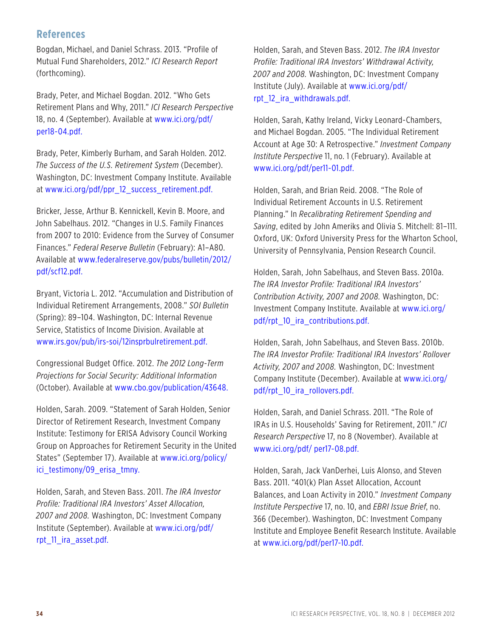#### **References**

Bogdan, Michael, and Daniel Schrass. 2013. "Profile of Mutual Fund Shareholders, 2012." *ICI Research Report* (forthcoming).

Brady, Peter, and Michael Bogdan. 2012. "Who Gets Retirement Plans and Why, 2011." *ICI Research Perspective* 18, no. 4 (September). Available at www.ici.org/pdf/ per18-04.pdf.

Brady, Peter, Kimberly Burham, and Sarah Holden. 2012. *The Success of the U.S. Retirement System* (December). Washington, DC: Investment Company Institute. Available at www.ici.org/pdf/ppr\_12\_success\_retirement.pdf.

Bricker, Jesse, Arthur B. Kennickell, Kevin B. Moore, and John Sabelhaus. 2012. "Changes in U.S. Family Finances from 2007 to 2010: Evidence from the Survey of Consumer Finances." *Federal Reserve Bulletin* (February): A1–A80. Available at www.federalreserve.gov/pubs/bulletin/2012/ pdf/scf12.pdf.

Bryant, Victoria L. 2012. "Accumulation and Distribution of Individual Retirement Arrangements, 2008." *SOI Bulletin* (Spring): 89–104. Washington, DC: Internal Revenue Service, Statistics of Income Division. Available at www.irs.gov/pub/irs-soi/12insprbulretirement.pdf.

Congressional Budget Office. 2012. *The 2012 Long-Term Projections for Social Security: Additional Information* (October). Available at www.cbo.gov/publication/43648.

Holden, Sarah. 2009. "Statement of Sarah Holden, Senior Director of Retirement Research, Investment Company Institute: Testimony for ERISA Advisory Council Working Group on Approaches for Retirement Security in the United States" (September 17). Available at www.ici.org/policy/ ici testimony/09 erisa tmny.

Holden, Sarah, and Steven Bass. 2011. *The IRA Investor Profile: Traditional IRA Investors' Asset Allocation, 2007 and 2008.* Washington, DC: Investment Company Institute (September). Available at www.ici.org/pdf/ rpt\_11\_ira\_asset.pdf.

Holden, Sarah, and Steven Bass. 2012. *The IRA Investor Profile: Traditional IRA Investors' Withdrawal Activity, 2007 and 2008.* Washington, DC: Investment Company Institute (July). Available at www.ici.org/pdf/ rpt\_12\_ira\_withdrawals.pdf.

Holden, Sarah, Kathy Ireland, Vicky Leonard-Chambers, and Michael Bogdan. 2005. "The Individual Retirement Account at Age 30: A Retrospective." *Investment Company Institute Perspective* 11, no. 1 (February). Available at www.ici.org/pdf/per11-01.pdf.

Holden, Sarah, and Brian Reid. 2008. "The Role of Individual Retirement Accounts in U.S. Retirement Planning." In *Recalibrating Retirement Spending and Saving*, edited by John Ameriks and Olivia S. Mitchell: 81–111. Oxford, UK: Oxford University Press for the Wharton School, University of Pennsylvania, Pension Research Council.

Holden, Sarah, John Sabelhaus, and Steven Bass. 2010a. *The IRA Investor Profile: Traditional IRA Investors' Contribution Activity, 2007 and 2008.* Washington, DC: Investment Company Institute. Available at www.ici.org/ pdf/rpt\_10\_ira\_contributions.pdf.

Holden, Sarah, John Sabelhaus, and Steven Bass. 2010b. *The IRA Investor Profile: Traditional IRA Investors' Rollover Activity, 2007 and 2008.* Washington, DC: Investment Company Institute (December). Available at www.ici.org/ pdf/rpt\_10\_ira\_rollovers.pdf.

Holden, Sarah, and Daniel Schrass. 2011. "The Role of IRAs in U.S. Households' Saving for Retirement, 2011." *ICI Research Perspective* 17, no 8 (November). Available at www.ici.org/pdf/ per17-08.pdf.

Holden, Sarah, Jack VanDerhei, Luis Alonso, and Steven Bass. 2011. "401(k) Plan Asset Allocation, Account Balances, and Loan Activity in 2010." *Investment Company Institute Perspective* 17, no. 10, and *EBRI Issue Brief*, no. 366 (December). Washington, DC: Investment Company Institute and Employee Benefit Research Institute. Available at www.ici.org/pdf/per17-10.pdf.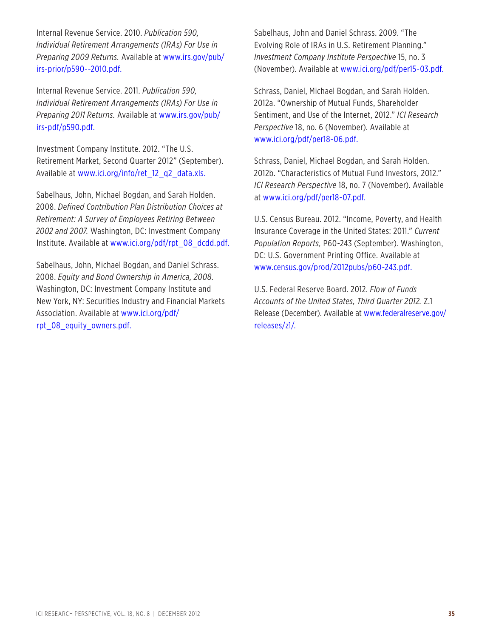Internal Revenue Service. 2010. *Publication 590, Individual Retirement Arrangements (IRAs) For Use in Preparing 2009 Returns.* Available at www.irs.gov/pub/ irs-prior/p590--2010.pdf.

Internal Revenue Service. 2011. *Publication 590, Individual Retirement Arrangements (IRAs) For Use in Preparing 2011 Returns.* Available at www.irs.gov/pub/ irs-pdf/p590.pdf.

Investment Company Institute. 2012. "The U.S. Retirement Market, Second Quarter 2012" (September). Available at www.ici.org/info/ret\_12\_q2\_data.xls.

Sabelhaus, John, Michael Bogdan, and Sarah Holden. 2008. *Defined Contribution Plan Distribution Choices at Retirement: A Survey of Employees Retiring Between 2002 and 2007.* Washington, DC: Investment Company Institute. Available at www.ici.org/pdf/rpt\_08\_dcdd.pdf.

Sabelhaus, John, Michael Bogdan, and Daniel Schrass. 2008. *Equity and Bond Ownership in America, 2008.*  Washington, DC: Investment Company Institute and New York, NY: Securities Industry and Financial Markets Association. Available at www.ici.org/pdf/ rpt\_08\_equity\_owners.pdf.

Sabelhaus, John and Daniel Schrass. 2009. "The Evolving Role of IRAs in U.S. Retirement Planning." *Investment Company Institute Perspective* 15, no. 3 (November). Available at www.ici.org/pdf/per15-03.pdf.

Schrass, Daniel, Michael Bogdan, and Sarah Holden. 2012a. "Ownership of Mutual Funds, Shareholder Sentiment, and Use of the Internet, 2012." *ICI Research Perspective* 18, no. 6 (November). Available at www.ici.org/pdf/per18-06.pdf.

Schrass, Daniel, Michael Bogdan, and Sarah Holden. 2012b. "Characteristics of Mutual Fund Investors, 2012." *ICI Research Perspective* 18, no. 7 (November). Available at www.ici.org/pdf/per18-07.pdf.

U.S. Census Bureau. 2012. "Income, Poverty, and Health Insurance Coverage in the United States: 2011." *Current Population Reports,* P60-243 (September). Washington, DC: U.S. Government Printing Office. Available at www.census.gov/prod/2012pubs/p60-243.pdf.

U.S. Federal Reserve Board. 2012. *Flow of Funds Accounts of the United States, Third Quarter 2012.* Z.1 Release (December). Available at www.federalreserve.gov/ releases/z1/.